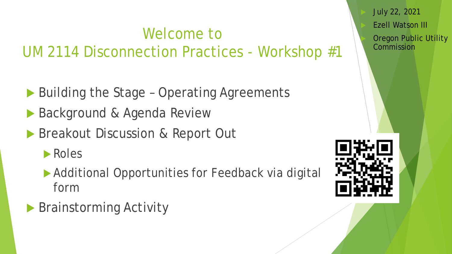### Welcome to UM 2114 Disconnection Practices - Workshop #1

- ▶ Building the Stage Operating Agreements
- ▶ Background & Agenda Review
- **Breakout Discussion & Report Out**

**Roles** 

- ▶ Additional Opportunities for Feedback via digital form
- ▶ Brainstorming Activity

 July 22, 2021 Ezell Watson III Oregon Public Utility Commission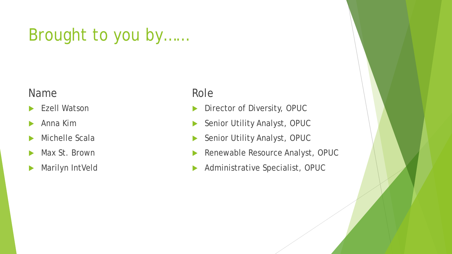### Brought to you by……

### Name

- **Ezell Watson**
- Anna Kim
- Michelle Scala
- Max St. Brown
- **Marilyn IntVeld**

### Role

- Director of Diversity, OPUC
- Senior Utility Analyst, OPUC
- Senior Utility Analyst, OPUC
- Renewable Resource Analyst, OPUC
- Administrative Specialist, OPUC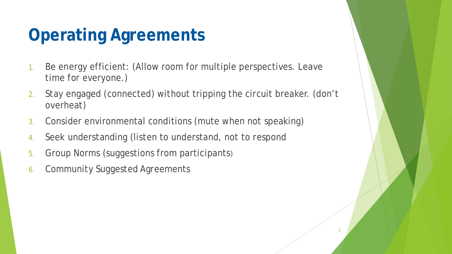### **Operating Agreements**

- 1. Be energy efficient: (Allow room for multiple perspectives. Leave time for everyone.)
- 2. Stay engaged (connected) without tripping the circuit breaker. (don't overheat)
- 3. Consider environmental conditions (mute when not speaking)
- 4. Seek understanding (listen to understand, not to respond
- 5. Group Norms (suggestions from participants)
- 6. Community Suggested Agreements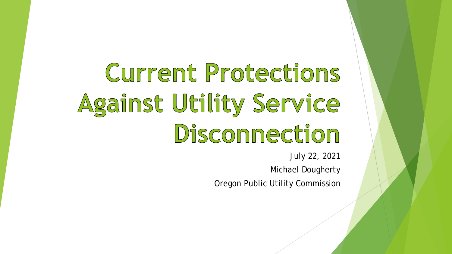Current Protections Against Utility Service Disconnection

July 22, 2021

Michael Dougherty

Oregon Public Utility Commission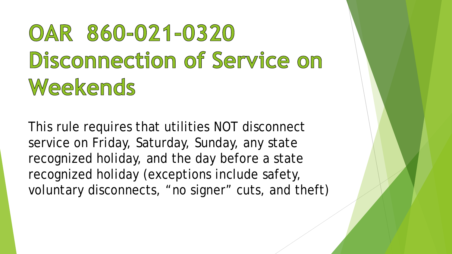# OAR 860-021-0320 Disconnection of Service on Weekends

This rule requires that utilities NOT disconnect service on Friday, Saturday, Sunday, any state recognized holiday, and the day before a state recognized holiday (exceptions include safety, voluntary disconnects, "no signer" cuts, and theft)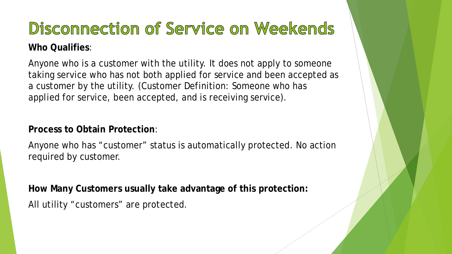# Disconnection of Service on Weekends

### **Who Qualifies**:

Anyone who is a customer with the utility. It does not apply to someone taking service who has not both applied for service and been accepted as a customer by the utility. (Customer Definition: Someone who has applied for service, been accepted, and is receiving service).

### **Process to Obtain Protection**:

Anyone who has "customer" status is automatically protected. No action required by customer.

**How Many Customers usually take advantage of this protection:** All utility "customers" are protected.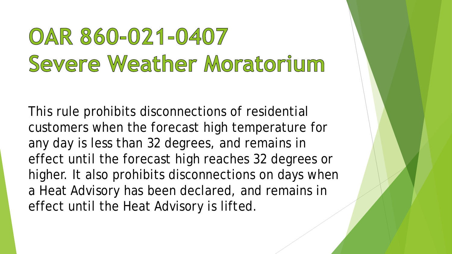## OAR 860-021-0407 Severe Weather Moratorium

This rule prohibits disconnections of residential customers when the forecast high temperature for any day is less than 32 degrees, and remains in effect until the forecast high reaches 32 degrees or higher. It also prohibits disconnections on days when a Heat Advisory has been declared, and remains in effect until the Heat Advisory is lifted.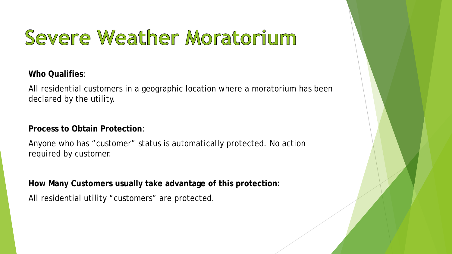## Severe Weather Moratorium

**Who Qualifies**:

All residential customers in a geographic location where a moratorium has been declared by the utility.

**Process to Obtain Protection**:

Anyone who has "customer" status is automatically protected. No action required by customer.

**How Many Customers usually take advantage of this protection:**

All residential utility "customers" are protected.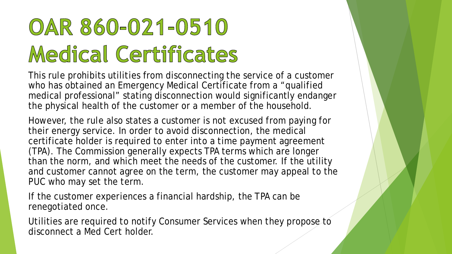# OAR 860-021-0510 Medical Certificates

This rule prohibits utilities from disconnecting the service of a customer who has obtained an Emergency Medical Certificate from a "qualified medical professional" stating disconnection would significantly endanger the physical health of the customer or a member of the household.

However, the rule also states a customer is not excused from paying for their energy service. In order to avoid disconnection, the medical certificate holder is required to enter into a time payment agreement (TPA). The Commission generally expects TPA terms which are longer than the norm, and which meet the needs of the customer. If the utility and customer cannot agree on the term, the customer may appeal to the PUC who may set the term.

If the customer experiences a financial hardship, the TPA can be renegotiated once.

Utilities are required to notify Consumer Services when they propose to disconnect a Med Cert holder.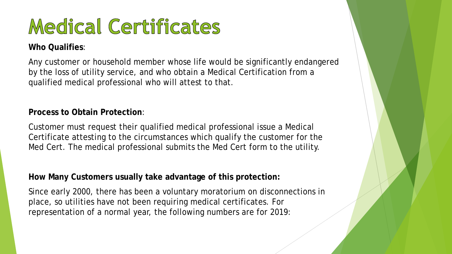## Medical Certificates

#### **Who Qualifies**:

Any customer or household member whose life would be significantly endangered by the loss of utility service, and who obtain a Medical Certification from a qualified medical professional who will attest to that.

#### **Process to Obtain Protection**:

Customer must request their qualified medical professional issue a Medical Certificate attesting to the circumstances which qualify the customer for the Med Cert. The medical professional submits the Med Cert form to the utility.

#### **How Many Customers usually take advantage of this protection:**

Since early 2000, there has been a voluntary moratorium on disconnections in place, so utilities have not been requiring medical certificates. For representation of a normal year, the following numbers are for 2019: